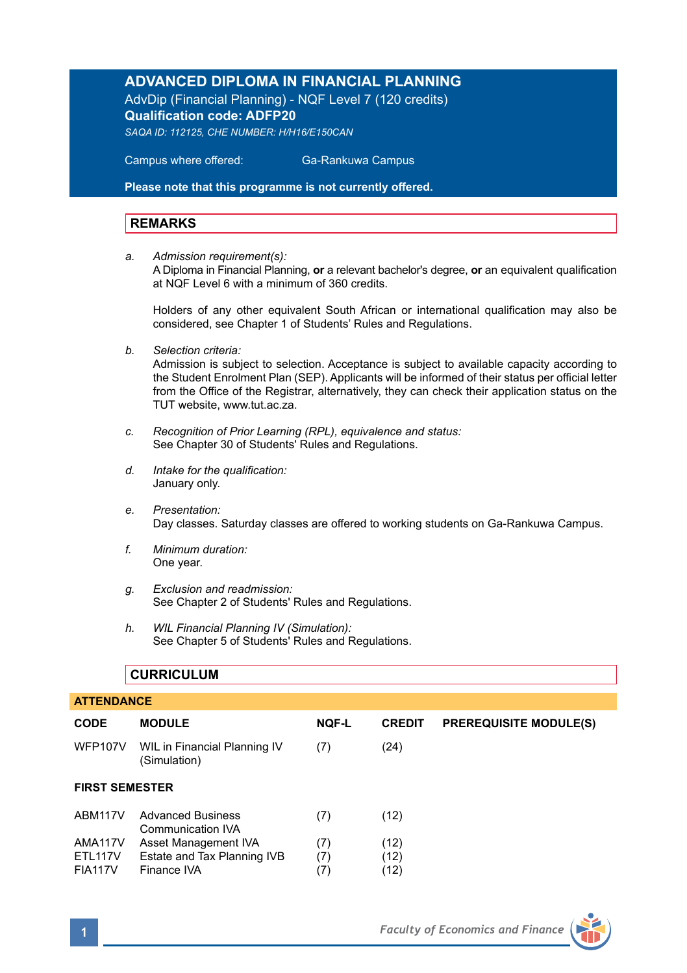#### **ADVANCED DIPLOMA IN FINANCIAL PLANNING**

AdvDip (Financial Planning) - NQF Level 7 (120 credits) **Qualification code: ADFP20** 

*SAQA ID: 112125, CHE NUMBER: H/H16/E150CAN* 

 Campus where offered: Ga-Rankuwa Campus

**Please note that this programme is not currently offered.** 

#### **REMARKS**

*a. Admission requirement(s):* 

A Diploma in Financial Planning, **or** a relevant bachelor's degree, **or** an equivalent qualification at NQF Level 6 with a minimum of 360 credits.

Holders of any other equivalent South African or international qualification may also be considered, see Chapter 1 of Students' Rules and Regulations.

*b. Selection criteria:*

Admission is subject to selection. Acceptance is subject to available capacity according to the Student Enrolment Plan (SEP). Applicants will be informed of their status per official letter from the Office of the Registrar, alternatively, they can check their application status on the TUT website, www.tut.ac.za.

- *c. Recognition of Prior Learning (RPL), equivalence and status:* See Chapter 30 of Students' Rules and Regulations.
- *d. Intake for the qualification:* January only.
- *e. Presentation:* Day classes. Saturday classes are offered to working students on Ga-Rankuwa Campus.
- *f. Minimum duration:* One year.
- *g. Exclusion and readmission:* See Chapter 2 of Students' Rules and Regulations.
- *h. WIL Financial Planning IV (Simulation):* See Chapter 5 of Students' Rules and Regulations.

#### **CURRICULUM**

| <b>ATTENDANCE</b>         |                                                     |              |               |                               |  |  |  |
|---------------------------|-----------------------------------------------------|--------------|---------------|-------------------------------|--|--|--|
| <b>CODE</b>               | <b>MODULE</b>                                       | <b>NQF-L</b> | <b>CREDIT</b> | <b>PREREQUISITE MODULE(S)</b> |  |  |  |
| <b>WFP107V</b>            | WIL in Financial Planning IV<br>(Simulation)        | (7)          | (24)          |                               |  |  |  |
| <b>FIRST SEMESTER</b>     |                                                     |              |               |                               |  |  |  |
| ABM117V                   | <b>Advanced Business</b><br>Communication IVA       | (7)          | (12)          |                               |  |  |  |
| AMA117V<br><b>ETL117V</b> | Asset Management IVA<br>Estate and Tax Planning IVB | (7)<br>(7)   | (12)<br>(12)  |                               |  |  |  |
| <b>FIA117V</b>            | Finance IVA                                         | (7)          | (12)          |                               |  |  |  |

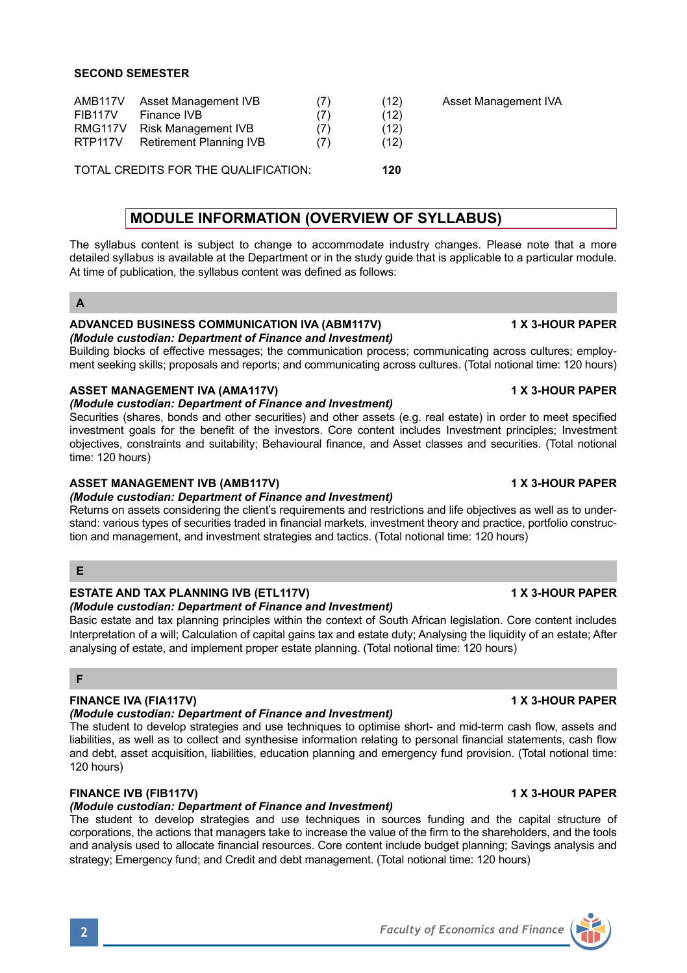| AMB <sub>117V</sub><br><b>FIB117V</b><br>RMG117V<br>RTP117V | Asset Management IVB<br>Finance IVB<br><b>Risk Management IVB</b><br>Retirement Planning IVB | (7)<br>(7)<br>(7) | (12)<br>(12)<br>(12)<br>(12) | Asset Management IVA |
|-------------------------------------------------------------|----------------------------------------------------------------------------------------------|-------------------|------------------------------|----------------------|
|                                                             | TOTAL CREDITS FOR THE QUALIFICATION:                                                         |                   | 120                          |                      |

# **MODULE INFORMATION (OVERVIEW OF SYLLABUS)**

The syllabus content is subject to change to accommodate industry changes. Please note that a more detailed syllabus is available at the Department or in the study guide that is applicable to a particular module. At time of publication, the syllabus content was defined as follows:

#### **A**

#### **ADVANCED BUSINESS COMMUNICATION IVA (ABM117V) 1 X 3-HOUR PAPER** *(Module custodian: Department of Finance and Investment)*

Building blocks of effective messages; the communication process; communicating across cultures; employment seeking skills; proposals and reports; and communicating across cultures. (Total notional time: 120 hours)

# **ASSET MANAGEMENT IVA (AMA117V) 1 ASSET MANAGEMENT IVA (AMA117V)** 1 X 3-HOUR PAPER

### *(Module custodian: Department of Finance and Investment)*

Securities (shares, bonds and other securities) and other assets (e.g. real estate) in order to meet specified investment goals for the benefit of the investors. Core content includes Investment principles; Investment objectives, constraints and suitability; Behavioural finance, and Asset classes and securities. (Total notional time: 120 hours)

### **ASSET MANAGEMENT IVB (AMB117V) 1 X 3-HOUR PAPER**

### *(Module custodian: Department of Finance and Investment)*

Returns on assets considering the client's requirements and restrictions and life objectives as well as to understand: various types of securities traded in financial markets, investment theory and practice, portfolio construction and management, and investment strategies and tactics. (Total notional time: 120 hours)

## **E**

# **ESTATE AND TAX PLANNING IVB (ETL117V) 1 X 3-HOUR PAPER**

# *(Module custodian: Department of Finance and Investment)*

Basic estate and tax planning principles within the context of South African legislation. Core content includes Interpretation of a will; Calculation of capital gains tax and estate duty; Analysing the liquidity of an estate; After analysing of estate, and implement proper estate planning. (Total notional time: 120 hours)

## **F**

## **FINANCE IVA (FIA117V) 1 X 3-HOUR PAPER**

### *(Module custodian: Department of Finance and Investment)*

The student to develop strategies and use techniques to optimise short- and mid-term cash flow, assets and liabilities, as well as to collect and synthesise information relating to personal financial statements, cash flow and debt, asset acquisition, liabilities, education planning and emergency fund provision. (Total notional time: 120 hours)

## **FINANCE IVB (FIB117V) 1 X 3-HOUR PAPER**

## *(Module custodian: Department of Finance and Investment)*

The student to develop strategies and use techniques in sources funding and the capital structure of corporations, the actions that managers take to increase the value of the firm to the shareholders, and the tools and analysis used to allocate financial resources. Core content include budget planning; Savings analysis and strategy; Emergency fund; and Credit and debt management. (Total notional time: 120 hours)



# **2** *Faculty of Economics and Finance*